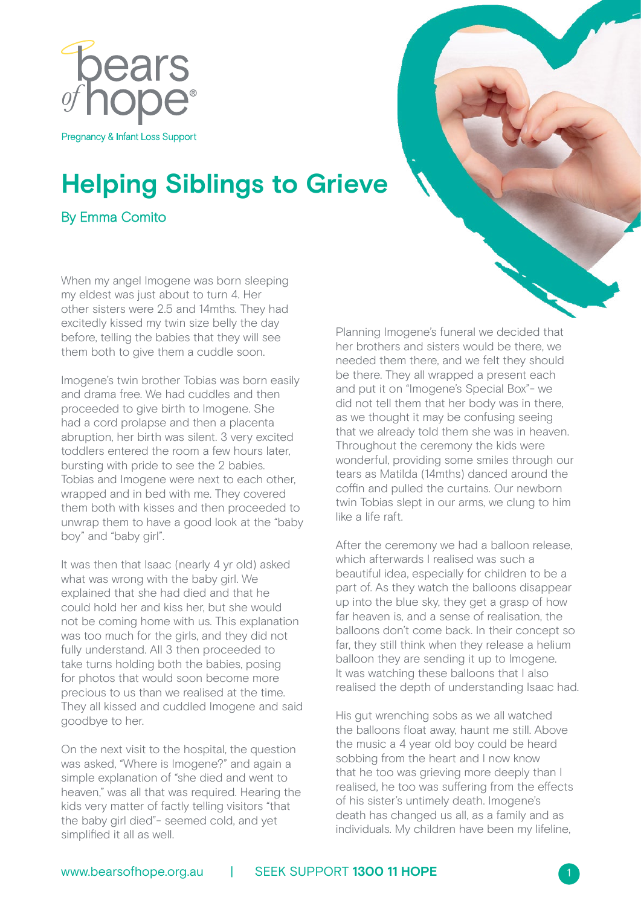

## **Helping Siblings to Grieve**

By Emma Comito

When my angel Imogene was born sleeping my eldest was just about to turn 4. Her other sisters were 2.5 and 14mths. They had excitedly kissed my twin size belly the day before, telling the babies that they will see them both to give them a cuddle soon.

Imogene's twin brother Tobias was born easily and drama free. We had cuddles and then proceeded to give birth to Imogene. She had a cord prolapse and then a placenta abruption, her birth was silent. 3 very excited toddlers entered the room a few hours later, bursting with pride to see the 2 babies. Tobias and Imogene were next to each other, wrapped and in bed with me. They covered them both with kisses and then proceeded to unwrap them to have a good look at the "baby boy" and "baby girl".

It was then that Isaac (nearly 4 yr old) asked what was wrong with the baby girl. We explained that she had died and that he could hold her and kiss her, but she would not be coming home with us. This explanation was too much for the girls, and they did not fully understand. All 3 then proceeded to take turns holding both the babies, posing for photos that would soon become more precious to us than we realised at the time. They all kissed and cuddled Imogene and said goodbye to her.

On the next visit to the hospital, the question was asked, "Where is Imogene?" and again a simple explanation of "she died and went to heaven," was all that was required. Hearing the kids very matter of factly telling visitors "that the baby girl died"- seemed cold, and yet simplified it all as well.

Planning Imogene's funeral we decided that her brothers and sisters would be there, we needed them there, and we felt they should be there. They all wrapped a present each and put it on "Imogene's Special Box"- we did not tell them that her body was in there, as we thought it may be confusing seeing that we already told them she was in heaven. Throughout the ceremony the kids were wonderful, providing some smiles through our tears as Matilda (14mths) danced around the coffin and pulled the curtains. Our newborn twin Tobias slept in our arms, we clung to him like a life raft.

After the ceremony we had a balloon release, which afterwards I realised was such a beautiful idea, especially for children to be a part of. As they watch the balloons disappear up into the blue sky, they get a grasp of how far heaven is, and a sense of realisation, the balloons don't come back. In their concept so far, they still think when they release a helium balloon they are sending it up to Imogene. It was watching these balloons that I also realised the depth of understanding Isaac had.

His gut wrenching sobs as we all watched the balloons float away, haunt me still. Above the music a 4 year old boy could be heard sobbing from the heart and I now know that he too was grieving more deeply than I realised, he too was suffering from the effects of his sister's untimely death. Imogene's death has changed us all, as a family and as individuals. My children have been my lifeline,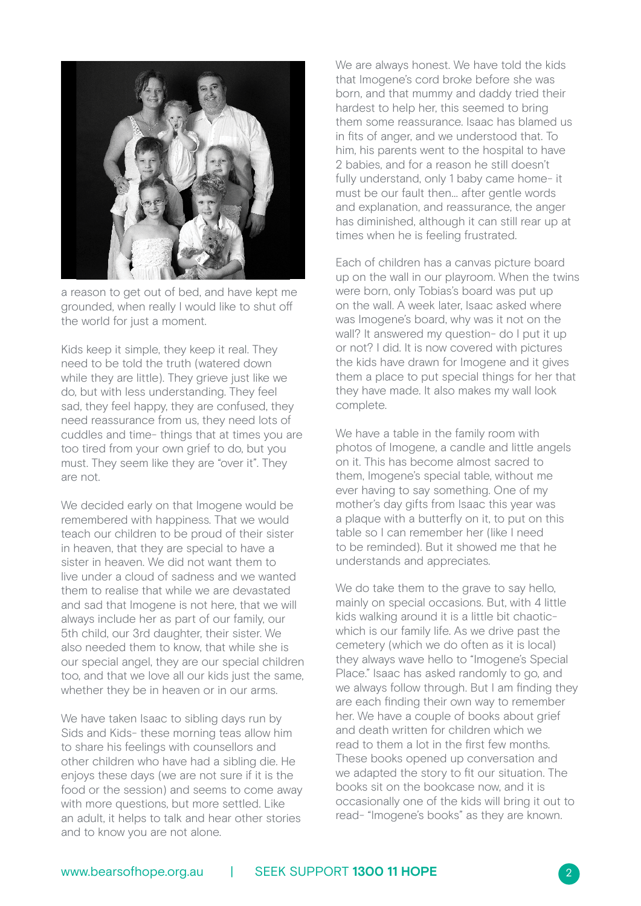

a reason to get out of bed, and have kept me grounded, when really I would like to shut off the world for just a moment.

Kids keep it simple, they keep it real. They need to be told the truth (watered down while they are little). They grieve just like we do, but with less understanding. They feel sad, they feel happy, they are confused, they need reassurance from us, they need lots of cuddles and time- things that at times you are too tired from your own grief to do, but you must. They seem like they are "over it". They are not.

We decided early on that Imogene would be remembered with happiness. That we would teach our children to be proud of their sister in heaven, that they are special to have a sister in heaven. We did not want them to live under a cloud of sadness and we wanted them to realise that while we are devastated and sad that Imogene is not here, that we will always include her as part of our family, our 5th child, our 3rd daughter, their sister. We also needed them to know, that while she is our special angel, they are our special children too, and that we love all our kids just the same, whether they be in heaven or in our arms.

We have taken Isaac to sibling days run by Sids and Kids- these morning teas allow him to share his feelings with counsellors and other children who have had a sibling die. He enjoys these days (we are not sure if it is the food or the session) and seems to come away with more questions, but more settled. Like an adult, it helps to talk and hear other stories and to know you are not alone.

We are always honest. We have told the kids that Imogene's cord broke before she was born, and that mummy and daddy tried their hardest to help her, this seemed to bring them some reassurance. Isaac has blamed us in fits of anger, and we understood that. To him, his parents went to the hospital to have 2 babies, and for a reason he still doesn't fully understand, only 1 baby came home- it must be our fault then… after gentle words and explanation, and reassurance, the anger has diminished, although it can still rear up at times when he is feeling frustrated.

Each of children has a canvas picture board up on the wall in our playroom. When the twins were born, only Tobias's board was put up on the wall. A week later, Isaac asked where was Imogene's board, why was it not on the wall? It answered my question- do I put it up or not? I did. It is now covered with pictures the kids have drawn for Imogene and it gives them a place to put special things for her that they have made. It also makes my wall look complete.

We have a table in the family room with photos of Imogene, a candle and little angels on it. This has become almost sacred to them, Imogene's special table, without me ever having to say something. One of my mother's day gifts from Isaac this year was a plaque with a butterfly on it, to put on this table so I can remember her (like I need to be reminded). But it showed me that he understands and appreciates.

We do take them to the grave to say hello, mainly on special occasions. But, with 4 little kids walking around it is a little bit chaoticwhich is our family life. As we drive past the cemetery (which we do often as it is local) they always wave hello to "Imogene's Special Place." Isaac has asked randomly to go, and we always follow through. But I am finding they are each finding their own way to remember her. We have a couple of books about grief and death written for children which we read to them a lot in the first few months. These books opened up conversation and we adapted the story to fit our situation. The books sit on the bookcase now, and it is occasionally one of the kids will bring it out to read- "Imogene's books" as they are known.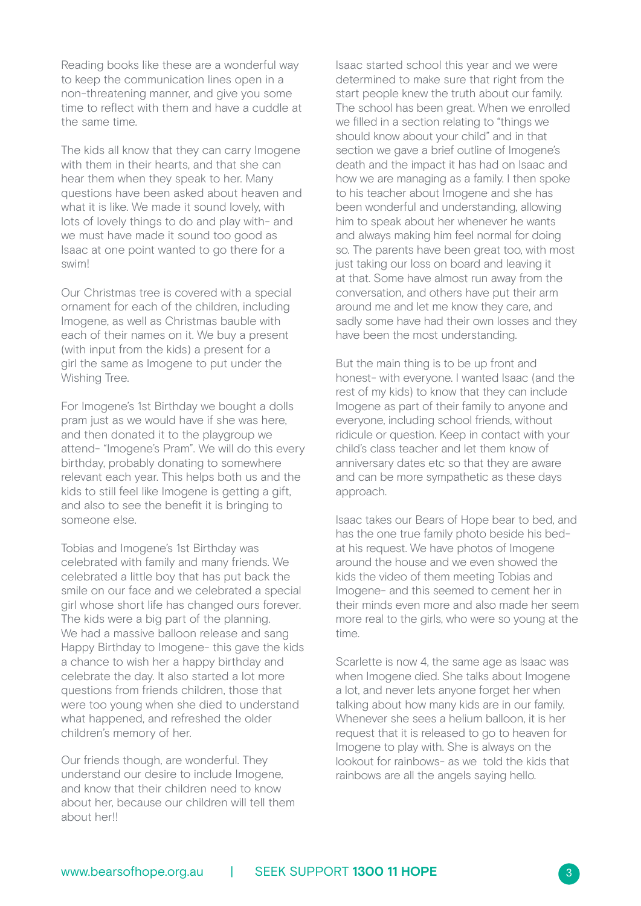Reading books like these are a wonderful way to keep the communication lines open in a non-threatening manner, and give you some time to reflect with them and have a cuddle at the same time.

The kids all know that they can carry Imogene with them in their hearts, and that she can hear them when they speak to her. Many questions have been asked about heaven and what it is like. We made it sound lovely, with lots of lovely things to do and play with- and we must have made it sound too good as Isaac at one point wanted to go there for a swim!

Our Christmas tree is covered with a special ornament for each of the children, including Imogene, as well as Christmas bauble with each of their names on it. We buy a present (with input from the kids) a present for a girl the same as Imogene to put under the Wishing Tree.

For Imogene's 1st Birthday we bought a dolls pram just as we would have if she was here, and then donated it to the playgroup we attend- "Imogene's Pram". We will do this every birthday, probably donating to somewhere relevant each year. This helps both us and the kids to still feel like Imogene is getting a gift, and also to see the benefit it is bringing to someone else.

Tobias and Imogene's 1st Birthday was celebrated with family and many friends. We celebrated a little boy that has put back the smile on our face and we celebrated a special girl whose short life has changed ours forever. The kids were a big part of the planning. We had a massive balloon release and sang Happy Birthday to Imogene- this gave the kids a chance to wish her a happy birthday and celebrate the day. It also started a lot more questions from friends children, those that were too young when she died to understand what happened, and refreshed the older children's memory of her.

Our friends though, are wonderful. They understand our desire to include Imogene, and know that their children need to know about her, because our children will tell them about her!!

Isaac started school this year and we were determined to make sure that right from the start people knew the truth about our family. The school has been great. When we enrolled we filled in a section relating to "things we should know about your child" and in that section we gave a brief outline of Imogene's death and the impact it has had on Isaac and how we are managing as a family. I then spoke to his teacher about Imogene and she has been wonderful and understanding, allowing him to speak about her whenever he wants and always making him feel normal for doing so. The parents have been great too, with most just taking our loss on board and leaving it at that. Some have almost run away from the conversation, and others have put their arm around me and let me know they care, and sadly some have had their own losses and they have been the most understanding.

But the main thing is to be up front and honest- with everyone. I wanted Isaac (and the rest of my kids) to know that they can include Imogene as part of their family to anyone and everyone, including school friends, without ridicule or question. Keep in contact with your child's class teacher and let them know of anniversary dates etc so that they are aware and can be more sympathetic as these days approach.

Isaac takes our Bears of Hope bear to bed, and has the one true family photo beside his bedat his request. We have photos of Imogene around the house and we even showed the kids the video of them meeting Tobias and Imogene- and this seemed to cement her in their minds even more and also made her seem more real to the girls, who were so young at the time.

Scarlette is now 4, the same age as Isaac was when Imogene died. She talks about Imogene a lot, and never lets anyone forget her when talking about how many kids are in our family. Whenever she sees a helium balloon, it is her request that it is released to go to heaven for Imogene to play with. She is always on the lookout for rainbows- as we told the kids that rainbows are all the angels saying hello.